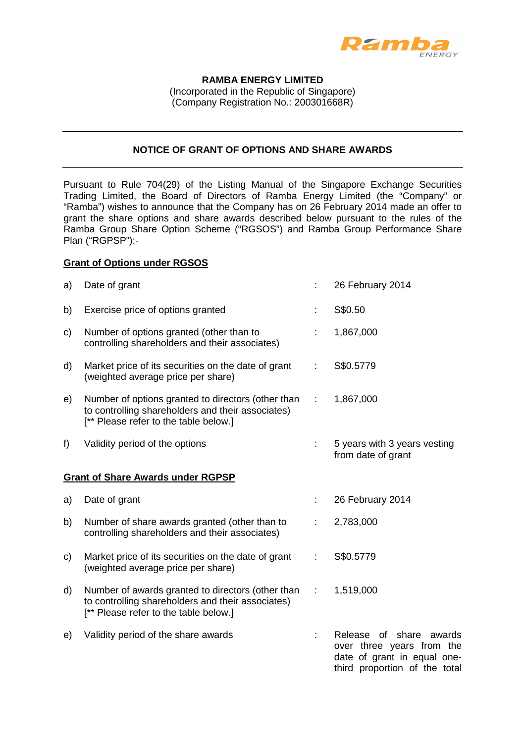

#### **RAMBA ENERGY LIMITED**

(Incorporated in the Republic of Singapore) (Company Registration No.: 200301668R)

# **NOTICE OF GRANT OF OPTIONS AND SHARE AWARDS**

Pursuant to Rule 704(29) of the Listing Manual of the Singapore Exchange Securities Trading Limited, the Board of Directors of Ramba Energy Limited (the "Company" or "Ramba") wishes to announce that the Company has on 26 February 2014 made an offer to grant the share options and share awards described below pursuant to the rules of the Ramba Group Share Option Scheme ("RGSOS") and Ramba Group Performance Share Plan ("RGPSP"):-

### **Grant of Options under RGSOS**

| a)                                       | Date of grant                                                                                                                                    |    | 26 February 2014                                                                                                           |  |  |  |
|------------------------------------------|--------------------------------------------------------------------------------------------------------------------------------------------------|----|----------------------------------------------------------------------------------------------------------------------------|--|--|--|
| b)                                       | Exercise price of options granted                                                                                                                |    | S\$0.50                                                                                                                    |  |  |  |
| C)                                       | Number of options granted (other than to<br>controlling shareholders and their associates)                                                       |    | 1,867,000                                                                                                                  |  |  |  |
| d)                                       | Market price of its securities on the date of grant<br>(weighted average price per share)                                                        | ÷  | S\$0.5779                                                                                                                  |  |  |  |
| e)                                       | Number of options granted to directors (other than<br>to controlling shareholders and their associates)<br>[** Please refer to the table below.] | ÷  | 1,867,000                                                                                                                  |  |  |  |
| f)                                       | Validity period of the options                                                                                                                   |    | 5 years with 3 years vesting<br>from date of grant                                                                         |  |  |  |
| <b>Grant of Share Awards under RGPSP</b> |                                                                                                                                                  |    |                                                                                                                            |  |  |  |
| a)                                       | Date of grant                                                                                                                                    |    | 26 February 2014                                                                                                           |  |  |  |
| b)                                       | Number of share awards granted (other than to<br>controlling shareholders and their associates)                                                  | ÷  | 2,783,000                                                                                                                  |  |  |  |
| C)                                       | Market price of its securities on the date of grant<br>(weighted average price per share)                                                        | ÷  | S\$0.5779                                                                                                                  |  |  |  |
| d)                                       | Number of awards granted to directors (other than<br>to controlling shareholders and their associates)<br>[** Please refer to the table below.]  | ÷  | 1,519,000                                                                                                                  |  |  |  |
| e)                                       | Validity period of the share awards                                                                                                              | ÷. | Release of<br>share<br>awards<br>over three years from the<br>date of grant in equal one-<br>third proportion of the total |  |  |  |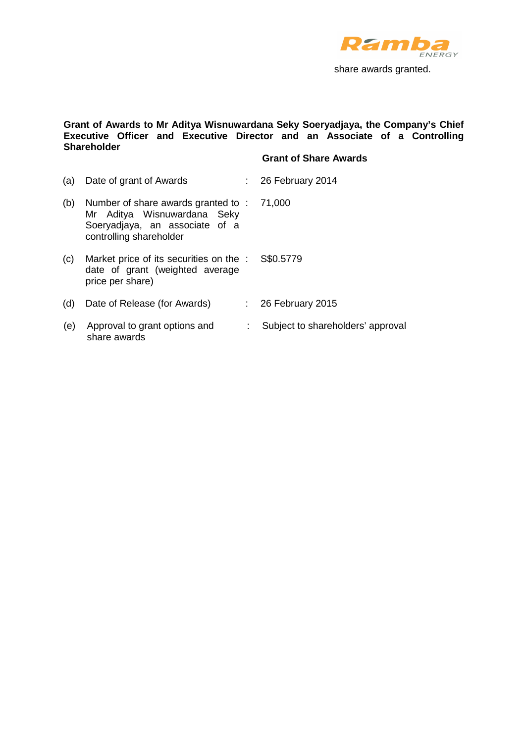

share awards granted.

#### **Grant of Awards to Mr Aditya Wisnuwardana Seky Soeryadjaya, the Company's Chief Executive Officer and Executive Director and an Associate of a Controlling Shareholder**

# **Grant of Share Awards**

| (a) | Date of grant of Awards                                                                                                        |    | $\therefore$ 26 February 2014     |
|-----|--------------------------------------------------------------------------------------------------------------------------------|----|-----------------------------------|
| (b) | Number of share awards granted to:<br>Mr Aditya Wisnuwardana Seky<br>Soeryadjaya, an associate of a<br>controlling shareholder |    | 71,000                            |
| (c) | Market price of its securities on the :<br>date of grant (weighted average<br>price per share)                                 |    | S\$0.5779                         |
| (d) | Date of Release (for Awards)                                                                                                   |    | $\therefore$ 26 February 2015     |
| (e) | Approval to grant options and<br>share awards                                                                                  | ÷. | Subject to shareholders' approval |